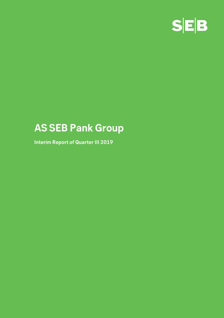

# **AS SEB Pank Group**

**Interim Report of Quarter III 2019**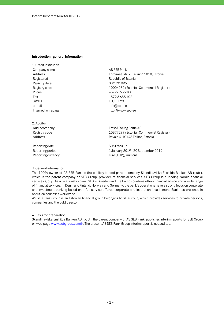#### **Introduction - general information**

1. Credit institution Company name and a set of the AS SEB Pank Registered in Republic of Estonia Registry date 08/12/1995 Phone  $+3726655100$ Fax  $+3726655102$ SWIFT EEUHEE2X e-mail info@seb.ee

2. Auditor

Reporting date 30/09/2019

Address Tornimäe Str. 2, Tallinn 15010, Estonia Registry code 10004252 (Estonian Commercial Register) Internet homepage http://www.seb.ee

Audit company Ernst & Young Baltic AS Registry code 10877299 (Estonian Commercial Register) Address **Address** Rävala 4, 10143 Tallinn, Estonia

Reporting period The Contract Contract 2019 - 1 January 2019 - 30 September 2019 Reporting currency Euro (EUR), millions

#### 3. General information

The 100% owner of AS SEB Pank is the publicly traded parent company Skandinaviska Enskilda Banken AB (publ), which is the parent company of SEB Group, provider of financial services. SEB Group is a leading Nordic financial services group. As a relationship bank, SEB in Sweden and the Baltic countries offers financial advice and a wide range of financial services. In Denmark, Finland, Norway and Germany, the bank's operations have a strong focus on corporate and investment banking based on a full-service offered corporate and institutional customers. Bank has presence in about 20 countries worldwide.

AS SEB Pank Group is an Estonian financial group belonging to SEB Group, which provides services to private persons, companies and the public sector.

4. Basis for preparation

Skandinaviska Enskilda Banken AB (publ), the parent company of AS SEB Pank, publishes interim reports for SEB Group on web page www.sebgroup.com/ir. The present AS SEB Pank Group interim report is not audited.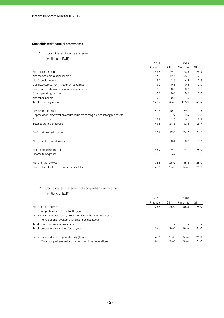# **Consolidated financial statements**

1. Consolidated income statement

(millions of EUR)

|                                                                             | 2018<br>2019 |         |          |         |
|-----------------------------------------------------------------------------|--------------|---------|----------|---------|
|                                                                             | 9 months     | QIII    | 9 months | QIII    |
| Net interest income                                                         | 83.4         | 29.2    | 73.6     | 25.4    |
| Net fee and commission income                                               | 37.8         | 12.7    | 36.1     | 12.5    |
| Net financial income                                                        | 3.2          | 1.3     | 4.9      | 1.3     |
| Gains less losses from investment securities                                | 4.1          | 0.6     | 0.5      | 1.0     |
| Profit and loss from investments in associates                              | 0.0          | 0.0     | 0.3      | 0.2     |
| Other operating income                                                      | 0.2          | 0.0     | 0.5      | 0.0     |
| Net other income                                                            | 4.3          | 0.6     | 1.3      | 1.2     |
| Total operating income                                                      | 128.7        | 43.8    | 115.9    | 40.4    |
| Personnel expenses                                                          | $-31.5$      | $-10.4$ | $-29.1$  | $-9.6$  |
| Depreciation, amortization and impairment of tangible and intangible assets | $-5.5$       | $-1.9$  | $-2.4$   | $-0.8$  |
| Other expenses                                                              | $-7.8$       | $-2.5$  | $-10.1$  | $-3.3$  |
| Total operating expenses                                                    | $-44.8$      | $-14.8$ | $-41.6$  | $-13.7$ |
| Profit before credit losses                                                 | 83.9         | 29.0    | 74.3     | 26.7    |
| Net expected credit losses                                                  | 2.8          | 0.4     | $-0.2$   | $-0.7$  |
| Profit before income tax                                                    | 86.7         | 29.4    | 74.1     | 26.0    |
| Income tax expense                                                          | $-10.1$      | $-3.4$  | $-17.5$  | 0.0     |
| Net profit for the year                                                     | 76.6         | 26.0    | 56.6     | 26.0    |
| Profit attributable to the sole equity holder                               | 76.6         | 26.0    | 56.6     | 26.0    |

# 2. Consolidated statement of comprehensive income (millions of EUR)

|                                                                      | 2019     |      |          | 2018 |  |
|----------------------------------------------------------------------|----------|------|----------|------|--|
|                                                                      | 9 months | QIII | 9 months | QIII |  |
| Net profit for the year                                              | 76.6     | 26.0 | 56.6     | 26.0 |  |
| Other comprehensive income for the year                              |          |      |          |      |  |
| Items that may subsequently be reclassified to the income statement: |          |      |          |      |  |
| Revaluation of available-for-sale financial assets                   |          |      |          |      |  |
| Total other comprehensive income                                     |          |      |          |      |  |
| Total comprehensive income for the year                              | 76.6     | 26.0 | 56.6     | 26.0 |  |
| Sole equity holder of the parent entity (total)                      | 76.6     | 26.0 | 56.6     | 26.0 |  |
| Total comprehensive income from continued operations                 | 76.6     | 26.0 | 56.6     | 26.0 |  |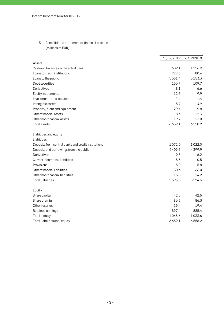# 3. Consolidated statement of financial position (millions of EUR)

|                                                     |        | 30/09/2019 31/12/2018 |
|-----------------------------------------------------|--------|-----------------------|
| Assets                                              |        |                       |
| Cash and balances with central bank                 | 609.1  | 1156.9                |
| Loans to credit institutions                        | 227.3  | 80.4                  |
| Loans to the public                                 | 5561.4 | 5153.3                |
| Debt securities                                     | 156.7  | 109.7                 |
| Derivatives                                         | 8.1    | 6.6                   |
| Equity instruments                                  | 12.5   | 9.9                   |
| Investments in associates                           | 1.4    | 1.4                   |
| Intangible assets                                   | 5.7    | 4.9                   |
| Property, plant and equipment                       | 29.4   | 9.8                   |
| Other financial assets                              | 8.3    | 12.3                  |
| Other non-financial assets                          | 19.2   | 13.0                  |
| Total assets                                        | 6639.1 | 6558.2                |
| Liabilities and equity                              |        |                       |
| Liabilities                                         |        |                       |
| Deposits from central banks and credit institutions | 1072.0 | 1022.0                |
| Deposits and borrowings from the public             | 4409.8 | 4399.9                |
| Derivatives                                         | 9.3    | 6.2                   |
| Current income tax liabilities                      | 3.3    | 10.5                  |
| Provisions                                          | 3.0    | 5.8                   |
| Other financial liabilities                         | 80.3   | 66.0                  |
| Other non-financial liabilities                     | 15.8   | 14.2                  |
| <b>Total liabilities</b>                            | 5593.5 | 5524.6                |
| Equity                                              |        |                       |
| Share capital                                       | 42.5   | 42.5                  |
| Share premium                                       | 86.3   | 86.3                  |
| Other reserves                                      | 19.4   | 19.4                  |
| Retained earnings                                   | 897.4  | 885.4                 |
| Total equity                                        | 1045.6 | 1033.6                |
| Total liabilities and equity                        | 6639.1 | 6558.2                |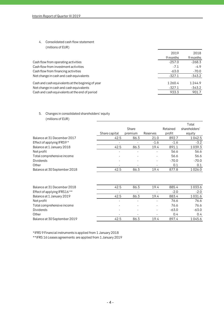## 4. Consolidated cash flow statement

| (millions of EUR)                                 |           |          |
|---------------------------------------------------|-----------|----------|
|                                                   | 2019      | 2018     |
|                                                   | 9 months  | 9 months |
| Cash flow from operating activities               | $-257.0$  | $-268.3$ |
| Cash flow from investment activities              | $-7.1$    | $-4.9$   |
| Cash flow from financing activities               | $-63.0$   | $-70.0$  |
| Net change in cash and cash equivalents           | $-327.1$  | $-343.2$ |
| Cash and cash equivalents at the beginnig of year | 1 2 6 0.4 | 1244.9   |
| Net change in cash and cash equivalents           | $-327.1$  | -343.2   |
| Cash and cash equivalents at the end of period    | 933.3     | 901.7    |
|                                                   |           |          |

# 5. Changes in consolidated shareholders' equity (millions of EUR)

|                              |               |         |          |          | Total         |
|------------------------------|---------------|---------|----------|----------|---------------|
|                              |               | Share   |          | Retained | shareholders' |
|                              | Share capital | premium | Reserves | profit   | equity        |
| Balance at 31 December 2017  | 42.5          | 86.3    | 21.0     | 892.7    | 1042.5        |
| Effect of applying IFRS9 *   |               |         | $-1.6$   | $-1.6$   | $-3.2$        |
| Balance at 1 January 2018    | 42.5          | 86.3    | 19.4     | 891.1    | 1039.3        |
| Net profit                   |               |         |          | 56.6     | 56.6          |
| Total comprehensive income   |               |         | ٠        | 56.6     | 56.6          |
| <b>Dividends</b>             |               |         |          | $-70.0$  | $-70.0$       |
| Other                        |               |         | ۰        | 0.1      | 0.1           |
| Balance at 30 September 2018 | 42.5          | 86.3    | 19.4     | 877.8    | 1026.0        |
|                              |               |         |          |          |               |
| Balance at 31 December 2018  | 42.5          | 86.3    | 19.4     | 885.4    | 1033.6        |
| Effect of applying IFRS16 ** |               | ٠       |          | $-2.0$   | $-2.0$        |
| Balance at 1 January 2019    | 42.5          | 86.3    | 19.4     | 883.4    | 1031.6        |
| Net profit                   |               |         |          | 76.6     | 76.6          |
| Total comprehensive income   |               |         | ٠        | 76.6     | 76.6          |
| <b>Dividends</b>             |               |         |          | $-63.0$  | $-63.0$       |
| Other                        |               |         |          | 0.4      | 0.4           |

Balance at 30 September 2019 19.4 42.5 86.3 19.4 897.4 1045.6

\*IFRS 9 Financial instruments is applied from 1 January 2018

\*\*IFRS 16 Leases agreements are applied from 1 January 2019